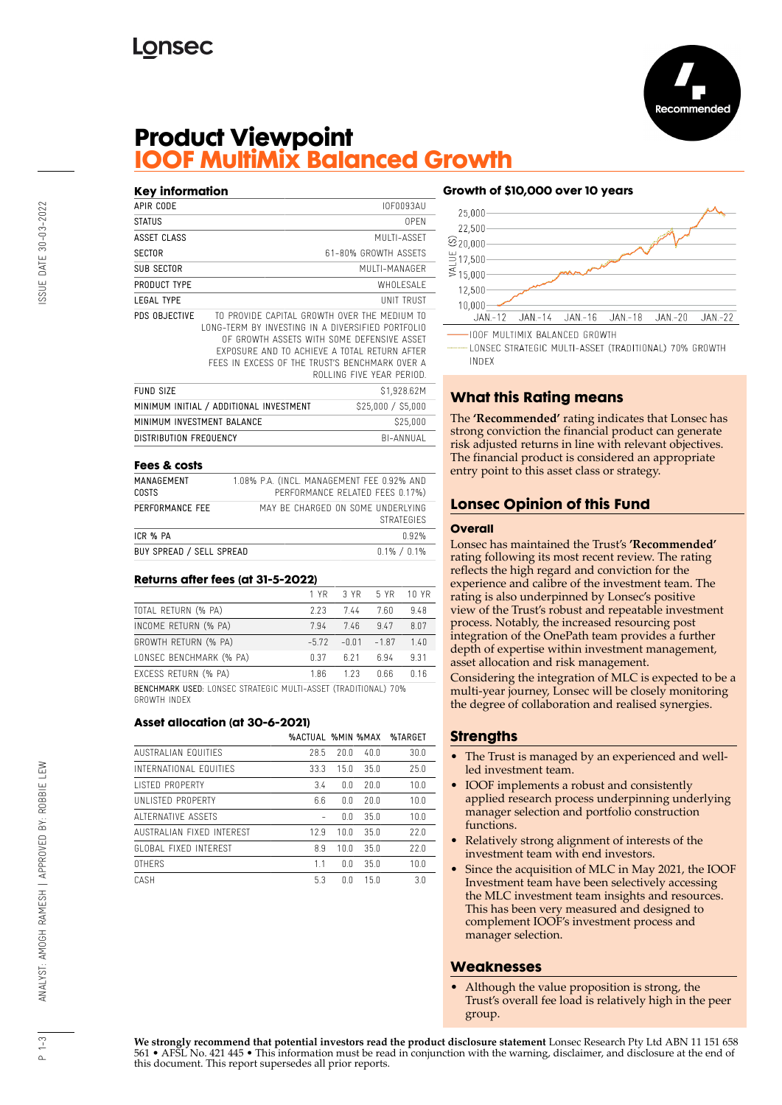

## **Product Viewpoint IOOF MultiMix Balanced Growth**

| Key information            |                                                                                                                                                                                                                                                   |                           |
|----------------------------|---------------------------------------------------------------------------------------------------------------------------------------------------------------------------------------------------------------------------------------------------|---------------------------|
| APIR CODE                  |                                                                                                                                                                                                                                                   | IOF0093AU                 |
| <b>STATUS</b>              |                                                                                                                                                                                                                                                   | 0PFN                      |
| ASSET CLASS                |                                                                                                                                                                                                                                                   | MUITI-ASSFT               |
| <b>SECTOR</b>              |                                                                                                                                                                                                                                                   | 61-80% GROWTH ASSETS      |
| <b>SUB SECTOR</b>          |                                                                                                                                                                                                                                                   | MUI TI-MANAGER            |
| PRODUCT TYPE               |                                                                                                                                                                                                                                                   | WHOI FSAI F               |
| <b>LEGAL TYPE</b>          |                                                                                                                                                                                                                                                   | <b>UNIT TRUST</b>         |
| PDS OBJECTIVE              | TO PROVIDE CAPITAL GROWTH OVER THE MEDIUM TO<br>LONG-TERM BY INVESTING IN A DIVERSIFIED PORTFOLIO<br>OF GROWTH ASSFTS WITH SOME DEFENSIVE ASSET<br>FXPOSURF AND TO ACHIEVE A TOTAL RETURN AFTER<br>FFFS IN EXCESS OF THE TRUST'S BENCHMARK OVER A | ROLLING FIVE YEAR PERIOD. |
| <b>FUND SIZE</b>           |                                                                                                                                                                                                                                                   | \$1,928.62M               |
|                            | MINIMUM INITIAL / ADDITIONAL INVESTMENT                                                                                                                                                                                                           | \$25,000 / \$5,000        |
| MINIMUM INVESTMENT BALANCE |                                                                                                                                                                                                                                                   | \$25,000                  |
| DISTRIBUTION FREQUENCY     |                                                                                                                                                                                                                                                   | BI-ANNUAL                 |
|                            |                                                                                                                                                                                                                                                   |                           |

#### **Fees & costs**

| MANAGEMENT<br><b>COSTS</b> | 1.08% P.A. (INCL. MANAGEMENT FEE 0.92% AND<br>PERFORMANCE RELATED FEES 0.17%) |
|----------------------------|-------------------------------------------------------------------------------|
| PERFORMANCE FEE            | MAY BE CHARGED ON SOME UNDERLYING<br><b>STRATEGIES</b>                        |
| ICR % PA                   | በ 92%                                                                         |
| BUY SPREAD / SELL SPREAD   | $0.1\% / 0.1\%$                                                               |

#### **Returns after fees (at 31-5-2022)**

|                                                                       | 1 YR   | 3 YR    | 5 YR    | 10 YR |
|-----------------------------------------------------------------------|--------|---------|---------|-------|
| TOTAL RETURN (% PA)                                                   | 2.23   | 744     | 7.60    | 9.48  |
| INCOME RETURN (% PA)                                                  | 794    | 7.46    | 9.47    | 807   |
| GROWTH RETURN (% PA)                                                  | $-572$ | $-0.01$ | $-1.87$ | 140   |
| LONSEC BENCHMARK (% PA)                                               | 0.37   | 6.21    | 6.94    | 9.31  |
| EXCESS RETURN (% PA)                                                  | 1.86   | 1 2 3   | 066     | n 16  |
| <b>BENCHMARK USED: LONSEC STRATEGIC MULTI-ASSET (TRADITIONAL) 70%</b> |        |         |         |       |

GROWTH INDEX

#### **Asset allocation (at 30-6-2021)**

|                            | <b>%ACTUAL %MIN %MAX</b> |      |      | %TARGET |
|----------------------------|--------------------------|------|------|---------|
| <b>AUSTRALIAN FOUITIES</b> | 28.5                     | 20.0 | 40.0 | 30.0    |
| INTERNATIONAL FOUITIES     | 33.3                     | 15.0 | 35.0 | 25.0    |
| LISTED PROPERTY            | 3.4                      | 0.0  | 20.0 | 10.0    |
| UNI ISTED PROPERTY         | 6.6                      | 0.0  | 20.0 | 10.0    |
| ALTERNATIVE ASSETS         |                          | 0.0  | 350  | 10.0    |
| AUSTRALIAN FIXED INTEREST  | 129                      | 10.0 | 350  | 77.0    |
| GLOBAL FIXED INTEREST      | 8.9                      | 10.0 | 350  | 77.0    |
| <b>OTHERS</b>              | 11                       | 0.0  | 35.0 | 10.0    |
| CASH                       | 53                       | n n  | 150  | 3.0     |

### **Growth of \$10,000 over 10 years**



LONSEC STRATEGIC MULTI-ASSET (TRADITIONAL) 70% GROWTH **INDEX** 

## **What this Rating means**

The **'Recommended'** rating indicates that Lonsec has strong conviction the financial product can generate risk adjusted returns in line with relevant objectives. The financial product is considered an appropriate entry point to this asset class or strategy.

## **Lonsec Opinion of this Fund**

#### **Overall**

Lonsec has maintained the Trust's **'Recommended'** rating following its most recent review. The rating reflects the high regard and conviction for the experience and calibre of the investment team. The rating is also underpinned by Lonsec's positive view of the Trust's robust and repeatable investment process. Notably, the increased resourcing post integration of the OnePath team provides a further depth of expertise within investment management, asset allocation and risk management.

Considering the integration of MLC is expected to be a multi-year journey, Lonsec will be closely monitoring the degree of collaboration and realised synergies.

## **Strengths**

- The Trust is managed by an experienced and wellled investment team.
- IOOF implements a robust and consistently applied research process underpinning underlying manager selection and portfolio construction functions.
- Relatively strong alignment of interests of the investment team with end investors.
- Since the acquisition of MLC in May 2021, the IOOF Investment team have been selectively accessing the MLC investment team insights and resources. This has been very measured and designed to complement IOOF's investment process and manager selection.

## **Weaknesses**

• Although the value proposition is strong, the Trust's overall fee load is relatively high in the peer group.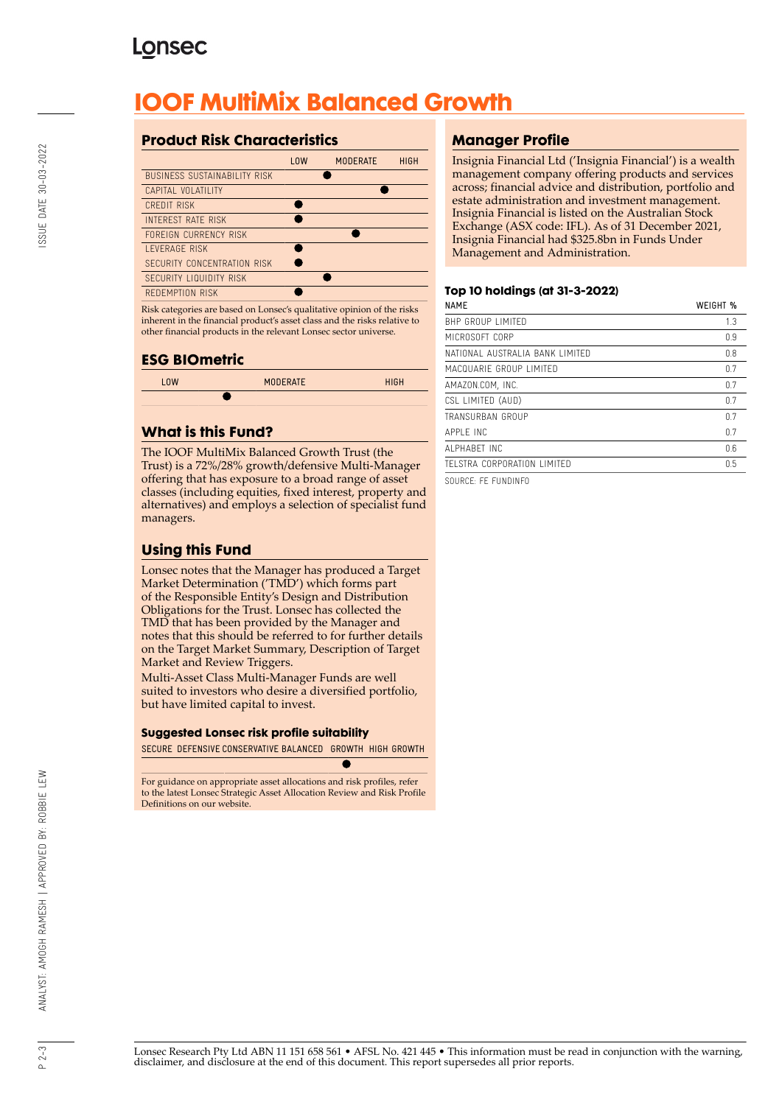# **Lonsec**

# **IOOF MultiMix Balanced Growth**

## **Product Risk Characteristics**

|                                     | <b>LOW</b> | <b>MODERATE</b> | <b>HIGH</b> |
|-------------------------------------|------------|-----------------|-------------|
| <b>BUSINESS SUSTAINABILITY RISK</b> |            |                 |             |
| CAPITAL VOLATILITY                  |            |                 |             |
| CREDIT RISK                         |            |                 |             |
| <b>INTEREST RATE RISK</b>           |            |                 |             |
| FORFIGN CURRENCY RISK               |            |                 |             |
| <b>I FVFRAGF RISK</b>               |            |                 |             |
| SECURITY CONCENTRATION RISK         |            |                 |             |
| SECURITY LIQUIDITY RISK             |            |                 |             |
| REDEMPTION RISK                     |            |                 |             |

Risk categories are based on Lonsec's qualitative opinion of the risks inherent in the financial product's asset class and the risks relative to other financial products in the relevant Lonsec sector universe.

## **ESG BIOmetric**

| <b>LOW</b> | <b>MODERATE</b> | <b>HIGH</b> |
|------------|-----------------|-------------|
|            |                 |             |
|            |                 |             |

## **What is this Fund?**

The IOOF MultiMix Balanced Growth Trust (the Trust) is a 72%/28% growth/defensive Multi-Manager offering that has exposure to a broad range of asset classes (including equities, fixed interest, property and alternatives) and employs a selection of specialist fund managers.

## **Using this Fund**

Lonsec notes that the Manager has produced a Target Market Determination ('TMD') which forms part of the Responsible Entity's Design and Distribution Obligations for the Trust. Lonsec has collected the TMD that has been provided by the Manager and notes that this should be referred to for further details on the Target Market Summary, Description of Target Market and Review Triggers.

Multi-Asset Class Multi-Manager Funds are well suited to investors who desire a diversified portfolio, but have limited capital to invest.

#### **Suggested Lonsec risk profile suitability**

SECURE DEFENSIVE CONSERVATIVE BALANCED GROWTH HIGH GROWTH

For guidance on appropriate asset allocations and risk profiles, refer to the latest Lonsec Strategic Asset Allocation Review and Risk Profile Definitions on our website.

## **Manager Profile**

Insignia Financial Ltd ('Insignia Financial') is a wealth management company offering products and services across; financial advice and distribution, portfolio and estate administration and investment management. Insignia Financial is listed on the Australian Stock Exchange (ASX code: IFL). As of 31 December 2021, Insignia Financial had \$325.8bn in Funds Under Management and Administration.

#### **Top 10 holdings (at 31-3-2022)**

| <b>NAME</b>                     | WEIGHT % |
|---------------------------------|----------|
| <b>BHP GROUP LIMITED</b>        | 1.3      |
| MICROSOFT CORP                  | 0.9      |
| NATIONAL AUSTRALIA BANK LIMITED | 0.8      |
| MACQUARIF GROUP LIMITED         | 0.7      |
| AMAZON.COM, INC.                | 0.7      |
| CSL LIMITED (AUD)               | 0.7      |
| TRANSURBAN GROUP                | 0.7      |
| APPI F INC                      | 0.7      |
| AI PHARFT INC                   | 0.6      |
| TELSTRA CORPORATION LIMITED     | 0.5      |
|                                 |          |

SOURCE: FE FUNDINFO